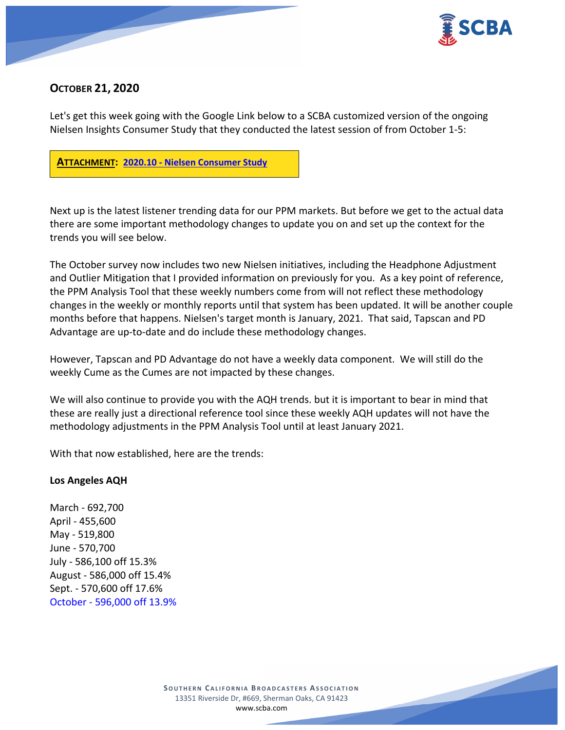

## **OCTOBER 21, 2020**

Let's get this week going with the Google Link below to a SCBA customized version of the ongoing Nielsen Insights Consumer Study that they conducted the latest session of from October 1-5:



Next up is the latest listener trending data for our PPM markets. But before we get to the actual data there are some important methodology changes to update you on and set up the context for the trends you will see below.

The October survey now includes two new Nielsen initiatives, including the Headphone Adjustment and Outlier Mitigation that I provided information on previously for you. As a key point of reference, the PPM Analysis Tool that these weekly numbers come from will not reflect these methodology changes in the weekly or monthly reports until that system has been updated. It will be another couple months before that happens. Nielsen's target month is January, 2021. That said, Tapscan and PD Advantage are up-to-date and do include these methodology changes.

However, Tapscan and PD Advantage do not have a weekly data component. We will still do the weekly Cume as the Cumes are not impacted by these changes.

We will also continue to provide you with the AQH trends. but it is important to bear in mind that these are really just a directional reference tool since these weekly AQH updates will not have the methodology adjustments in the PPM Analysis Tool until at least January 2021.

With that now established, here are the trends:

### **Los Angeles AQH**

March - 692,700 April - 455,600 May - 519,800 June - 570,700 July - 586,100 off 15.3% August - 586,000 off 15.4% Sept. - 570,600 off 17.6% October - 596,000 off 13.9%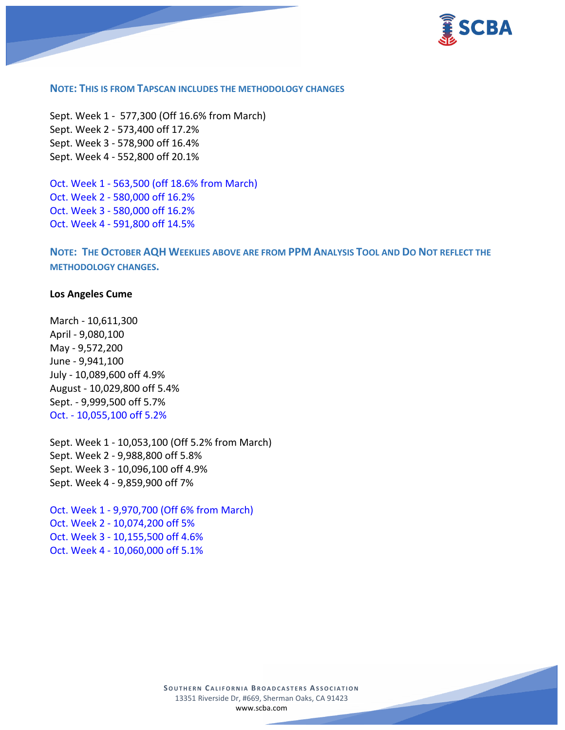

#### **NOTE: THIS IS FROM TAPSCAN INCLUDES THE METHODOLOGY CHANGES**

Sept. Week 1 - 577,300 (Off 16.6% from March) Sept. Week 2 - 573,400 off 17.2% Sept. Week 3 - 578,900 off 16.4% Sept. Week 4 - 552,800 off 20.1%

Oct. Week 1 - 563,500 (off 18.6% from March) Oct. Week 2 - 580,000 off 16.2% Oct. Week 3 - 580,000 off 16.2% Oct. Week 4 - 591,800 off 14.5%

**NOTE: THE OCTOBER AQH WEEKLIES ABOVE ARE FROM PPM ANALYSIS TOOL AND DO NOT REFLECT THE METHODOLOGY CHANGES.**

#### **Los Angeles Cume**

March - 10,611,300 April - 9,080,100 May - 9,572,200 June - 9,941,100 July - 10,089,600 off 4.9% August - 10,029,800 off 5.4% Sept. - 9,999,500 off 5.7% Oct. - 10,055,100 off 5.2%

Sept. Week 1 - 10,053,100 (Off 5.2% from March) Sept. Week 2 - 9,988,800 off 5.8% Sept. Week 3 - 10,096,100 off 4.9% Sept. Week 4 - 9,859,900 off 7%

Oct. Week 1 - 9,970,700 (Off 6% from March) Oct. Week 2 - 10,074,200 off 5% Oct. Week 3 - 10,155,500 off 4.6% Oct. Week 4 - 10,060,000 off 5.1%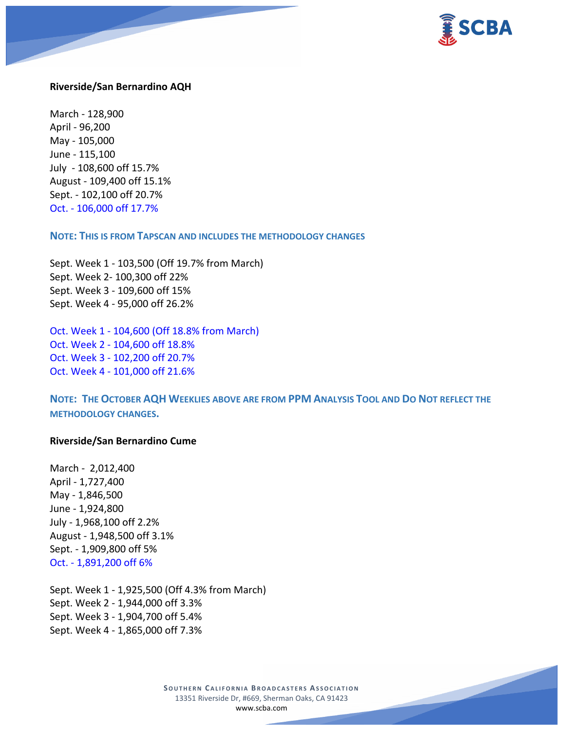

#### **Riverside/San Bernardino AQH**

March - 128,900 April - 96,200 May - 105,000 June - 115,100 July - 108,600 off 15.7% August - 109,400 off 15.1% Sept. - 102,100 off 20.7% Oct. - 106,000 off 17.7%

#### **NOTE: THIS IS FROM TAPSCAN AND INCLUDES THE METHODOLOGY CHANGES**

Sept. Week 1 - 103,500 (Off 19.7% from March) Sept. Week 2- 100,300 off 22% Sept. Week 3 - 109,600 off 15% Sept. Week 4 - 95,000 off 26.2%

Oct. Week 1 - 104,600 (Off 18.8% from March) Oct. Week 2 - 104,600 off 18.8% Oct. Week 3 - 102,200 off 20.7% Oct. Week 4 - 101,000 off 21.6%

**NOTE: THE OCTOBER AQH WEEKLIES ABOVE ARE FROM PPM ANALYSIS TOOL AND DO NOT REFLECT THE METHODOLOGY CHANGES.**

#### **Riverside/San Bernardino Cume**

March - 2,012,400 April - 1,727,400 May - 1,846,500 June - 1,924,800 July - 1,968,100 off 2.2% August - 1,948,500 off 3.1% Sept. - 1,909,800 off 5% Oct. - 1,891,200 off 6%

Sept. Week 1 - 1,925,500 (Off 4.3% from March) Sept. Week 2 - 1,944,000 off 3.3% Sept. Week 3 - 1,904,700 off 5.4% Sept. Week 4 - 1,865,000 off 7.3%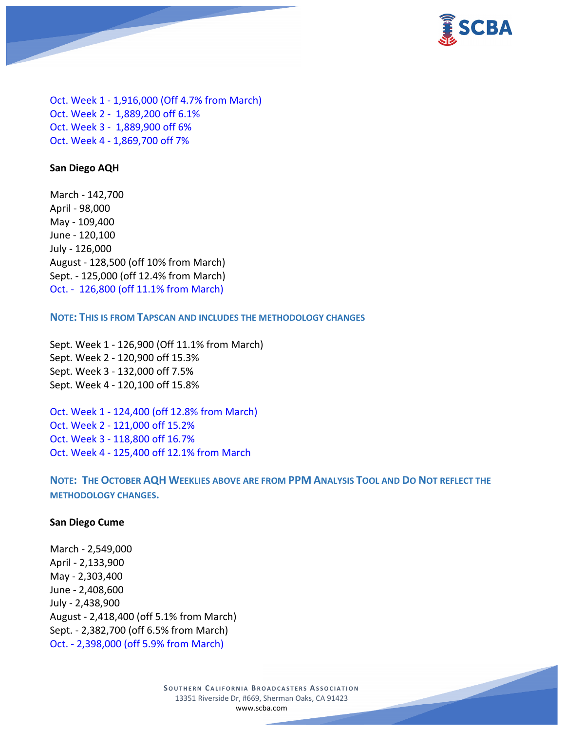

Oct. Week 1 - 1,916,000 (Off 4.7% from March) Oct. Week 2 - 1,889,200 off 6.1% Oct. Week 3 - 1,889,900 off 6% Oct. Week 4 - 1,869,700 off 7%

#### **San Diego AQH**

March - 142,700 April - 98,000 May - 109,400 June - 120,100 July - 126,000 August - 128,500 (off 10% from March) Sept. - 125,000 (off 12.4% from March) Oct. - 126,800 (off 11.1% from March)

**NOTE: THIS IS FROM TAPSCAN AND INCLUDES THE METHODOLOGY CHANGES** 

Sept. Week 1 - 126,900 (Off 11.1% from March) Sept. Week 2 - 120,900 off 15.3% Sept. Week 3 - 132,000 off 7.5% Sept. Week 4 - 120,100 off 15.8%

Oct. Week 1 - 124,400 (off 12.8% from March) Oct. Week 2 - 121,000 off 15.2% Oct. Week 3 - 118,800 off 16.7% Oct. Week 4 - 125,400 off 12.1% from March

**NOTE: THE OCTOBER AQH WEEKLIES ABOVE ARE FROM PPM ANALYSIS TOOL AND DO NOT REFLECT THE METHODOLOGY CHANGES.**

#### **San Diego Cume**

March - 2,549,000 April - 2,133,900 May - 2,303,400 June - 2,408,600 July - 2,438,900 August - 2,418,400 (off 5.1% from March) Sept. - 2,382,700 (off 6.5% from March) Oct. - 2,398,000 (off 5.9% from March)

> **SOUTHERN CALIFORNIA BROADCASTERS ASSOCIATION** 13351 Riverside Dr, #669, Sherman Oaks, CA 91423 [www.scba.com](http://www.scba.com/)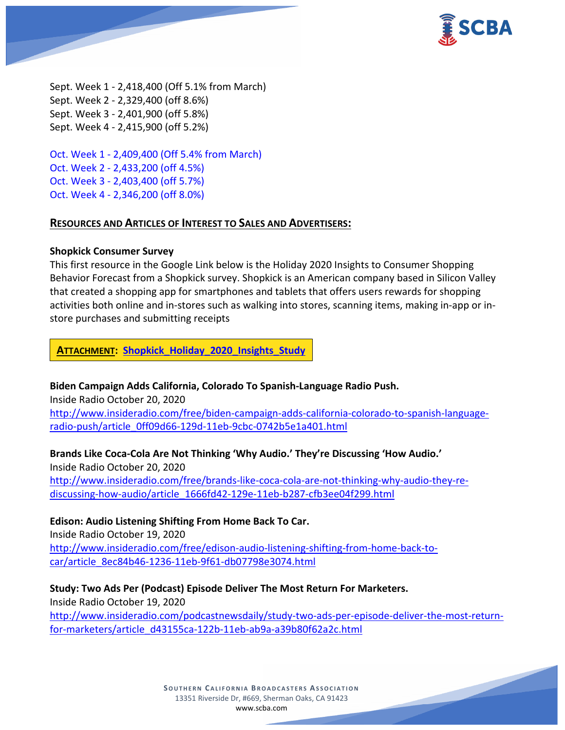

Sept. Week 1 - 2,418,400 (Off 5.1% from March) Sept. Week 2 - 2,329,400 (off 8.6%) Sept. Week 3 - 2,401,900 (off 5.8%) Sept. Week 4 - 2,415,900 (off 5.2%)

Oct. Week 1 - 2,409,400 (Off 5.4% from March) Oct. Week 2 - 2,433,200 (off 4.5%) Oct. Week 3 - 2,403,400 (off 5.7%) Oct. Week 4 - 2,346,200 (off 8.0%)

### **RESOURCES AND ARTICLES OF INTEREST TO SALES AND ADVERTISERS:**

### **Shopkick Consumer Survey**

This first resource in the Google Link below is the Holiday 2020 Insights to Consumer Shopping Behavior Forecast from a Shopkick survey. Shopkick is an American company based in Silicon Valley that created a shopping app for smartphones and tablets that offers users rewards for shopping activities both online and in-stores such as walking into stores, scanning items, making in-app or instore purchases and submitting receipts

**ATTACHMENT: [Shopkick\\_Holiday\\_2020\\_Insights\\_Study](https://scba.com/shopkick_holiday_2020_insights_study/)**

**Biden Campaign Adds California, Colorado To Spanish-Language Radio Push.**

Inside Radio October 20, 2020 [http://www.insideradio.com/free/biden-campaign-adds-california-colorado-to-spanish-language](http://www.insideradio.com/free/biden-campaign-adds-california-colorado-to-spanish-language-radio-push/article_0ff09d66-129d-11eb-9cbc-0742b5e1a401.html)[radio-push/article\\_0ff09d66-129d-11eb-9cbc-0742b5e1a401.html](http://www.insideradio.com/free/biden-campaign-adds-california-colorado-to-spanish-language-radio-push/article_0ff09d66-129d-11eb-9cbc-0742b5e1a401.html)

**Brands Like Coca-Cola Are Not Thinking 'Why Audio.' They're Discussing 'How Audio.'** Inside Radio October 20, 2020 [http://www.insideradio.com/free/brands-like-coca-cola-are-not-thinking-why-audio-they-re](http://www.insideradio.com/free/brands-like-coca-cola-are-not-thinking-why-audio-they-re-discussing-how-audio/article_1666fd42-129e-11eb-b287-cfb3ee04f299.html)[discussing-how-audio/article\\_1666fd42-129e-11eb-b287-cfb3ee04f299.html](http://www.insideradio.com/free/brands-like-coca-cola-are-not-thinking-why-audio-they-re-discussing-how-audio/article_1666fd42-129e-11eb-b287-cfb3ee04f299.html)

## **Edison: Audio Listening Shifting From Home Back To Car.**

Inside Radio October 19, 2020 [http://www.insideradio.com/free/edison-audio-listening-shifting-from-home-back-to](http://www.insideradio.com/free/edison-audio-listening-shifting-from-home-back-to-car/article_8ec84b46-1236-11eb-9f61-db07798e3074.html)[car/article\\_8ec84b46-1236-11eb-9f61-db07798e3074.html](http://www.insideradio.com/free/edison-audio-listening-shifting-from-home-back-to-car/article_8ec84b46-1236-11eb-9f61-db07798e3074.html)

**Study: Two Ads Per (Podcast) Episode Deliver The Most Return For Marketers.** Inside Radio October 19, 2020 [http://www.insideradio.com/podcastnewsdaily/study-two-ads-per-episode-deliver-the-most-return](http://www.insideradio.com/podcastnewsdaily/study-two-ads-per-episode-deliver-the-most-return-for-marketers/article_d43155ca-122b-11eb-ab9a-a39b80f62a2c.html)[for-marketers/article\\_d43155ca-122b-11eb-ab9a-a39b80f62a2c.html](http://www.insideradio.com/podcastnewsdaily/study-two-ads-per-episode-deliver-the-most-return-for-marketers/article_d43155ca-122b-11eb-ab9a-a39b80f62a2c.html)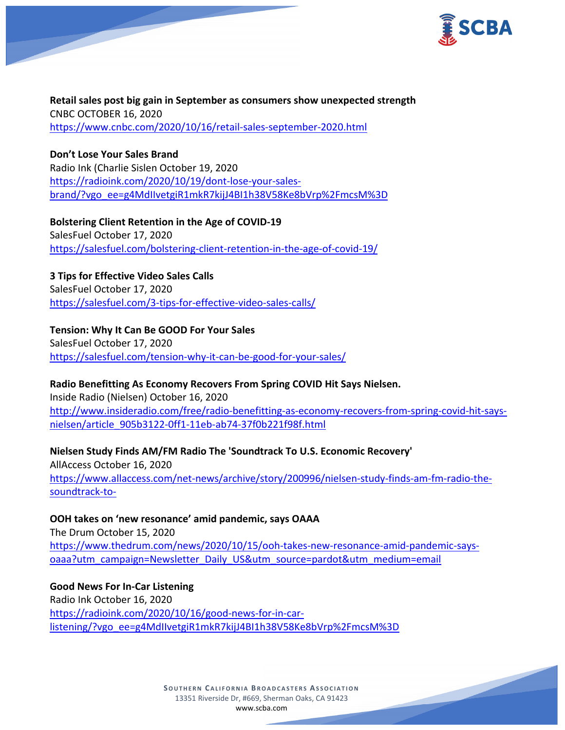

**Retail sales post big gain in September as consumers show unexpected strength** CNBC OCTOBER 16, 2020 <https://www.cnbc.com/2020/10/16/retail-sales-september-2020.html>

## **Don't Lose Your Sales Brand**

Radio Ink (Charlie Sislen October 19, 2020 [https://radioink.com/2020/10/19/dont-lose-your-sales](https://radioink.com/2020/10/19/dont-lose-your-sales-brand/?vgo_ee=g4MdIIvetgiR1mkR7kijJ4BI1h38V58Ke8bVrp%2FmcsM%3D)[brand/?vgo\\_ee=g4MdIIvetgiR1mkR7kijJ4BI1h38V58Ke8bVrp%2FmcsM%3D](https://radioink.com/2020/10/19/dont-lose-your-sales-brand/?vgo_ee=g4MdIIvetgiR1mkR7kijJ4BI1h38V58Ke8bVrp%2FmcsM%3D)

**Bolstering Client Retention in the Age of COVID-19** SalesFuel October 17, 2020 <https://salesfuel.com/bolstering-client-retention-in-the-age-of-covid-19/>

## **3 Tips for Effective Video Sales Calls**

SalesFuel October 17, 2020 <https://salesfuel.com/3-tips-for-effective-video-sales-calls/>

## **Tension: Why It Can Be GOOD For Your Sales**

SalesFuel October 17, 2020 <https://salesfuel.com/tension-why-it-can-be-good-for-your-sales/>

## **Radio Benefitting As Economy Recovers From Spring COVID Hit Says Nielsen.**

Inside Radio (Nielsen) October 16, 2020 [http://www.insideradio.com/free/radio-benefitting-as-economy-recovers-from-spring-covid-hit-says](http://www.insideradio.com/free/radio-benefitting-as-economy-recovers-from-spring-covid-hit-says-nielsen/article_905b3122-0ff1-11eb-ab74-37f0b221f98f.html)[nielsen/article\\_905b3122-0ff1-11eb-ab74-37f0b221f98f.html](http://www.insideradio.com/free/radio-benefitting-as-economy-recovers-from-spring-covid-hit-says-nielsen/article_905b3122-0ff1-11eb-ab74-37f0b221f98f.html)

**Nielsen Study Finds AM/FM Radio The 'Soundtrack To U.S. Economic Recovery'** AllAccess October 16, 2020

[https://www.allaccess.com/net-news/archive/story/200996/nielsen-study-finds-am-fm-radio-the](https://www.allaccess.com/net-news/archive/story/200996/nielsen-study-finds-am-fm-radio-the-soundtrack-to-)[soundtrack-to-](https://www.allaccess.com/net-news/archive/story/200996/nielsen-study-finds-am-fm-radio-the-soundtrack-to-)

## **OOH takes on 'new resonance' amid pandemic, says OAAA**

The Drum October 15, 2020 [https://www.thedrum.com/news/2020/10/15/ooh-takes-new-resonance-amid-pandemic-says](https://www.thedrum.com/news/2020/10/15/ooh-takes-new-resonance-amid-pandemic-says-oaaa?utm_campaign=Newsletter_Daily_US&utm_source=pardot&utm_medium=email)[oaaa?utm\\_campaign=Newsletter\\_Daily\\_US&utm\\_source=pardot&utm\\_medium=email](https://www.thedrum.com/news/2020/10/15/ooh-takes-new-resonance-amid-pandemic-says-oaaa?utm_campaign=Newsletter_Daily_US&utm_source=pardot&utm_medium=email)

**Good News For In-Car Listening** Radio Ink October 16, 2020 [https://radioink.com/2020/10/16/good-news-for-in-car](https://radioink.com/2020/10/16/good-news-for-in-car-listening/?vgo_ee=g4MdIIvetgiR1mkR7kijJ4BI1h38V58Ke8bVrp%2FmcsM%3D)[listening/?vgo\\_ee=g4MdIIvetgiR1mkR7kijJ4BI1h38V58Ke8bVrp%2FmcsM%3D](https://radioink.com/2020/10/16/good-news-for-in-car-listening/?vgo_ee=g4MdIIvetgiR1mkR7kijJ4BI1h38V58Ke8bVrp%2FmcsM%3D)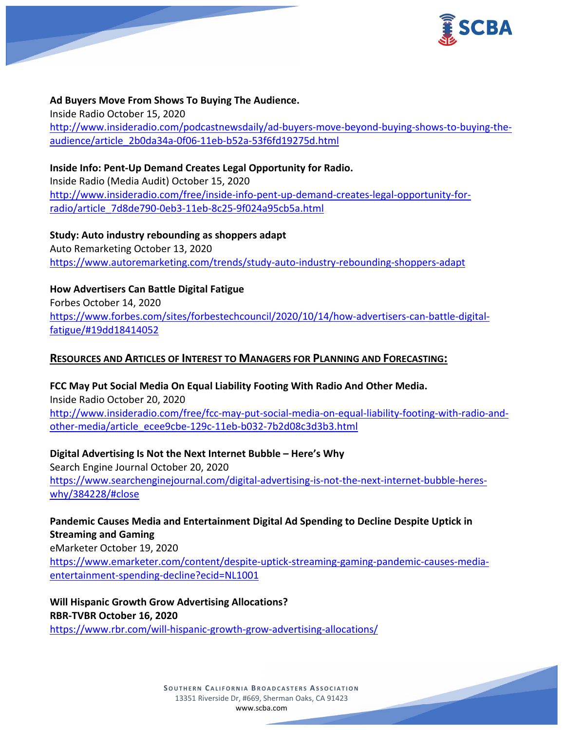

**Ad Buyers Move From Shows To Buying The Audience.** Inside Radio October 15, 2020 [http://www.insideradio.com/podcastnewsdaily/ad-buyers-move-beyond-buying-shows-to-buying-the](http://www.insideradio.com/podcastnewsdaily/ad-buyers-move-beyond-buying-shows-to-buying-the-audience/article_2b0da34a-0f06-11eb-b52a-53f6fd19275d.html)[audience/article\\_2b0da34a-0f06-11eb-b52a-53f6fd19275d.html](http://www.insideradio.com/podcastnewsdaily/ad-buyers-move-beyond-buying-shows-to-buying-the-audience/article_2b0da34a-0f06-11eb-b52a-53f6fd19275d.html)

**Inside Info: Pent-Up Demand Creates Legal Opportunity for Radio.** Inside Radio (Media Audit) October 15, 2020 [http://www.insideradio.com/free/inside-info-pent-up-demand-creates-legal-opportunity-for](http://www.insideradio.com/free/inside-info-pent-up-demand-creates-legal-opportunity-for-radio/article_7d8de790-0eb3-11eb-8c25-9f024a95cb5a.html)[radio/article\\_7d8de790-0eb3-11eb-8c25-9f024a95cb5a.html](http://www.insideradio.com/free/inside-info-pent-up-demand-creates-legal-opportunity-for-radio/article_7d8de790-0eb3-11eb-8c25-9f024a95cb5a.html)

**Study: Auto industry rebounding as shoppers adapt** Auto Remarketing October 13, 2020 <https://www.autoremarketing.com/trends/study-auto-industry-rebounding-shoppers-adapt>

**How Advertisers Can Battle Digital Fatigue** Forbes October 14, 2020 [https://www.forbes.com/sites/forbestechcouncil/2020/10/14/how-advertisers-can-battle-digital](https://www.forbes.com/sites/forbestechcouncil/2020/10/14/how-advertisers-can-battle-digital-fatigue/#19dd18414052)[fatigue/#19dd18414052](https://www.forbes.com/sites/forbestechcouncil/2020/10/14/how-advertisers-can-battle-digital-fatigue/#19dd18414052)

## **RESOURCES AND ARTICLES OF INTEREST TO MANAGERS FOR PLANNING AND FORECASTING:**

**FCC May Put Social Media On Equal Liability Footing With Radio And Other Media.** Inside Radio October 20, 2020 [http://www.insideradio.com/free/fcc-may-put-social-media-on-equal-liability-footing-with-radio-and](http://www.insideradio.com/free/fcc-may-put-social-media-on-equal-liability-footing-with-radio-and-other-media/article_ecee9cbe-129c-11eb-b032-7b2d08c3d3b3.html)[other-media/article\\_ecee9cbe-129c-11eb-b032-7b2d08c3d3b3.html](http://www.insideradio.com/free/fcc-may-put-social-media-on-equal-liability-footing-with-radio-and-other-media/article_ecee9cbe-129c-11eb-b032-7b2d08c3d3b3.html)

**Digital Advertising Is Not the Next Internet Bubble – Here's Why** Search Engine Journal October 20, 2020 [https://www.searchenginejournal.com/digital-advertising-is-not-the-next-internet-bubble-heres](https://www.searchenginejournal.com/digital-advertising-is-not-the-next-internet-bubble-heres-why/384228/#close)[why/384228/#close](https://www.searchenginejournal.com/digital-advertising-is-not-the-next-internet-bubble-heres-why/384228/#close)

**Pandemic Causes Media and Entertainment Digital Ad Spending to Decline Despite Uptick in Streaming and Gaming**

eMarketer October 19, 2020

[https://www.emarketer.com/content/despite-uptick-streaming-gaming-pandemic-causes-media](https://www.emarketer.com/content/despite-uptick-streaming-gaming-pandemic-causes-media-entertainment-spending-decline?ecid=NL1001)[entertainment-spending-decline?ecid=NL1001](https://www.emarketer.com/content/despite-uptick-streaming-gaming-pandemic-causes-media-entertainment-spending-decline?ecid=NL1001)

**Will Hispanic Growth Grow Advertising Allocations? RBR-TVBR October 16, 2020**

<https://www.rbr.com/will-hispanic-growth-grow-advertising-allocations/>